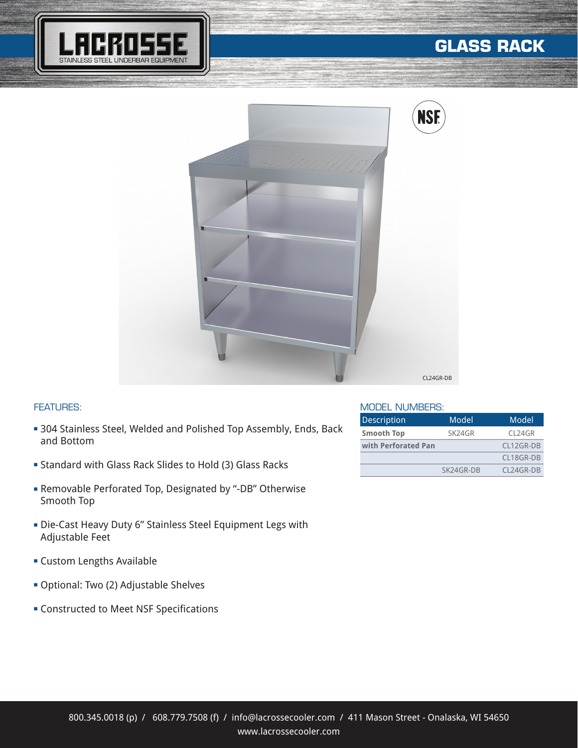

## **GLASS RACK**



## FEATURES:

- **304 Stainless Steel, Welded and Polished Top Assembly, Ends, Back** and Bottom
- <sup>n</sup> Standard with Glass Rack Slides to Hold (3) Glass Racks
- <sup>n</sup> Removable Perforated Top, Designated by "-DB" Otherwise Smooth Top
- **-** Die-Cast Heavy Duty 6" Stainless Steel Equipment Legs with Adjustable Feet
- **Exercise Custom Lengths Available**
- **Optional: Two (2) Adjustable Shelves**
- **EX Constructed to Meet NSF Specifications**

## MODEL NUMBERS:

| <b>Description</b>  | Model     | Model       |
|---------------------|-----------|-------------|
| <b>Smooth Top</b>   | SK24GR    | CL24GR      |
| with Perforated Pan |           | CL12GR-DB   |
|                     |           | CL18GR-DB   |
|                     | SK24GR-DB | $C124GR-DR$ |